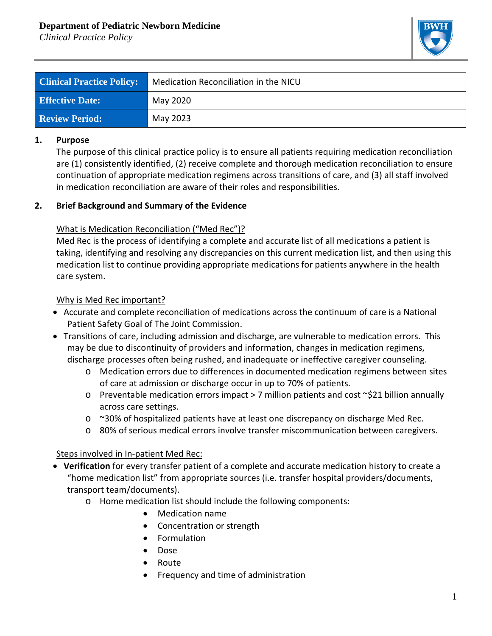# **Department of Pediatric Newborn Medicine**

*Clinical Practice Policy*



| <b>Clinical Practice Policy:</b> | Medication Reconciliation in the NICU |
|----------------------------------|---------------------------------------|
| <b>Effective Date:</b>           | May 2020                              |
| <b>Review Period:</b>            | May 2023                              |

#### **1. Purpose**

The purpose of this clinical practice policy is to ensure all patients requiring medication reconciliation are (1) consistently identified, (2) receive complete and thorough medication reconciliation to ensure continuation of appropriate medication regimens across transitions of care, and (3) all staff involved in medication reconciliation are aware of their roles and responsibilities.

### **2. Brief Background and Summary of the Evidence**

### What is Medication Reconciliation ("Med Rec")?

Med Rec is the process of identifying a complete and accurate list of all medications a patient is taking, identifying and resolving any discrepancies on this current medication list, and then using this medication list to continue providing appropriate medications for patients anywhere in the health care system.

#### Why is Med Rec important?

- Accurate and complete reconciliation of medications across the continuum of care is a National Patient Safety Goal of The Joint Commission.
- Transitions of care, including admission and discharge, are vulnerable to medication errors. This may be due to discontinuity of providers and information, changes in medication regimens, discharge processes often being rushed, and inadequate or ineffective caregiver counseling.
	- o Medication errors due to differences in documented medication regimens between sites of care at admission or discharge occur in up to 70% of patients.
	- $\circ$  Preventable medication errors impact > 7 million patients and cost  $\sim$ \$21 billion annually across care settings.
	- $\circ$  ~30% of hospitalized patients have at least one discrepancy on discharge Med Rec.
	- o 80% of serious medical errors involve transfer miscommunication between caregivers.

### Steps involved in In-patient Med Rec:

- **Verification** for every transfer patient of a complete and accurate medication history to create a "home medication list" from appropriate sources (i.e. transfer hospital providers/documents, transport team/documents).
	- o Home medication list should include the following components:
		- Medication name
		- Concentration or strength
		- Formulation
		- Dose
		- Route
		- Frequency and time of administration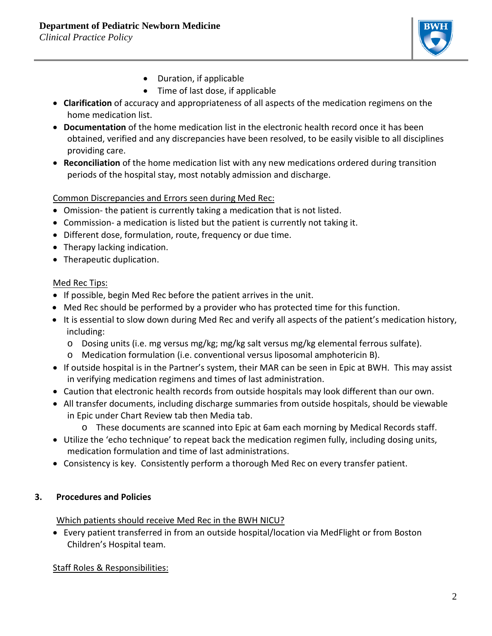

- Duration, if applicable
- Time of last dose, if applicable
- **Clarification** of accuracy and appropriateness of all aspects of the medication regimens on the home medication list.
- **Documentation** of the home medication list in the electronic health record once it has been obtained, verified and any discrepancies have been resolved, to be easily visible to all disciplines providing care.
- **Reconciliation** of the home medication list with any new medications ordered during transition periods of the hospital stay, most notably admission and discharge.

# Common Discrepancies and Errors seen during Med Rec:

- Omission- the patient is currently taking a medication that is not listed.
- Commission- a medication is listed but the patient is currently not taking it.
- Different dose, formulation, route, frequency or due time.
- Therapy lacking indication.
- Therapeutic duplication.

# Med Rec Tips:

- If possible, begin Med Rec before the patient arrives in the unit.
- Med Rec should be performed by a provider who has protected time for this function.
- It is essential to slow down during Med Rec and verify all aspects of the patient's medication history, including:
	- o Dosing units (i.e. mg versus mg/kg; mg/kg salt versus mg/kg elemental ferrous sulfate).
	- o Medication formulation (i.e. conventional versus liposomal amphotericin B).
- If outside hospital is in the Partner's system, their MAR can be seen in Epic at BWH. This may assist in verifying medication regimens and times of last administration.
- Caution that electronic health records from outside hospitals may look different than our own.
- All transfer documents, including discharge summaries from outside hospitals, should be viewable in Epic under Chart Review tab then Media tab.
	- o These documents are scanned into Epic at 6am each morning by Medical Records staff.
- Utilize the 'echo technique' to repeat back the medication regimen fully, including dosing units, medication formulation and time of last administrations.
- Consistency is key. Consistently perform a thorough Med Rec on every transfer patient.

# **3. Procedures and Policies**

Which patients should receive Med Rec in the BWH NICU?

• Every patient transferred in from an outside hospital/location via MedFlight or from Boston Children's Hospital team.

Staff Roles & Responsibilities: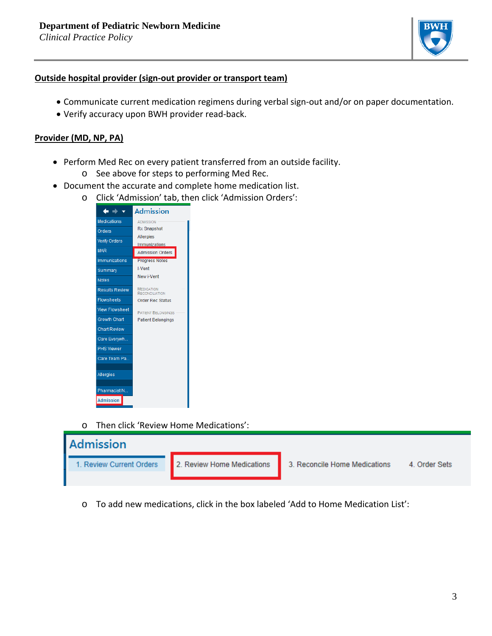

#### **Outside hospital provider (sign-out provider or transport team)**

- Communicate current medication regimens during verbal sign-out and/or on paper documentation.
- Verify accuracy upon BWH provider read-back.

#### **Provider (MD, NP, PA)**

- Perform Med Rec on every patient transferred from an outside facility.
	- o See above for steps to performing Med Rec.
- Document the accurate and complete home medication list.
	- o Click 'Admission' tab, then click 'Admission Orders':



o Then click 'Review Home Medications':



o To add new medications, click in the box labeled 'Add to Home Medication List':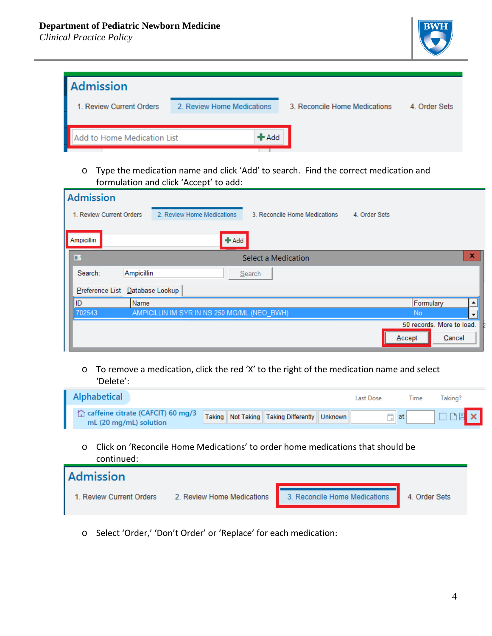*Clinical Practice Policy*



| Admission                   |                            |         |                               |               |
|-----------------------------|----------------------------|---------|-------------------------------|---------------|
| 1. Review Current Orders    | 2. Review Home Medications |         | 3. Reconcile Home Medications | 4. Order Sets |
|                             |                            |         |                               |               |
| Add to Home Medication List |                            | $+$ Add |                               |               |
|                             |                            |         |                               |               |

# o Type the medication name and click 'Add' to search. Find the correct medication and formulation and click 'Accept' to add:

| <b>Admission</b>                |                                             |                               |               |                           |
|---------------------------------|---------------------------------------------|-------------------------------|---------------|---------------------------|
| 1. Review Current Orders        | 2. Review Home Medications                  | 3. Reconcile Home Medications | 4. Order Sets |                           |
| Ampicillin                      | $+$ Add                                     |                               |               |                           |
| Ξ                               |                                             | <b>Select a Medication</b>    |               | ×                         |
| Ampicillin<br>Search:           |                                             | Search                        |               |                           |
| Preference List Database Lookup |                                             |                               |               |                           |
| ID<br>Name                      |                                             |                               |               | Formulary                 |
| 702543                          | AMPICILLIN IM SYR IN NS 250 MG/ML (NEO BWH) |                               | <b>No</b>     |                           |
|                                 |                                             |                               |               | 50 records. More to load. |
|                                 |                                             |                               | Accept        | Cancel                    |

o To remove a medication, click the red 'X' to the right of the medication name and select 'Delete':

| <b>Alphabetical</b>                                         |                                                    | Last Dose | Lime | Taking?       |
|-------------------------------------------------------------|----------------------------------------------------|-----------|------|---------------|
| caffeine citrate (CAFCIT) 60 mg/3<br>mL (20 mg/mL) solution | Taking   Not Taking   Taking Differently   Unknown |           |      | $\Box$ $\Box$ |

o Click on 'Reconcile Home Medications' to order home medications that should be continued:



o Select 'Order,' 'Don't Order' or 'Replace' for each medication: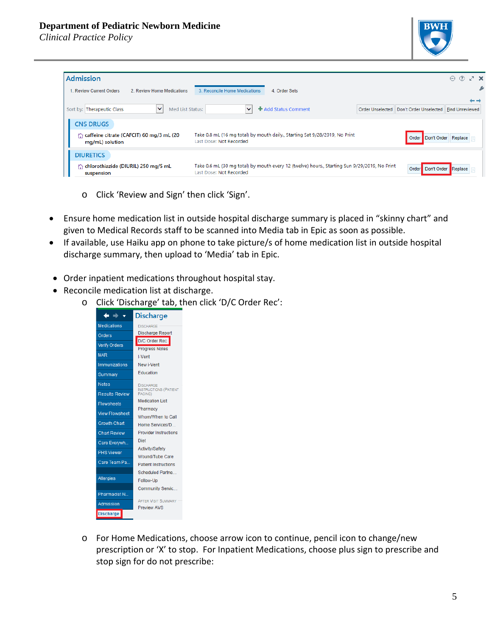## **Department of Pediatric Newborn Medicine**

*Clinical Practice Policy*



| <b>Admission</b>                                                                |                                                                                                                          |                  |                        | (2)<br>$7 \times$<br>$\odot$ |  |
|---------------------------------------------------------------------------------|--------------------------------------------------------------------------------------------------------------------------|------------------|------------------------|------------------------------|--|
| 1. Review Current Orders<br>2. Review Home Medications                          | 3. Reconcile Home Medications<br>4. Order Sets                                                                           |                  |                        |                              |  |
| $\check{ }$<br>Med List Status:<br>Sort by: Therapeutic Class                   | + Add Status Comment<br>◡                                                                                                | Order Unselected | Don't Order Unselected | Find Unreviewed              |  |
| <b>CNS DRUGS</b><br>caffeine citrate (CAFCIT) 60 mg/3 mL (20<br>mg/mL) solution | Take 0.8 mL (16 mg total) by mouth daily., Starting Sat 9/28/2019, No Print<br>Last Dose: Not Recorded                   |                  | Order Don't Order      | Replace                      |  |
| <b>DIURETICS</b><br>chlorothiazide (DIURIL) 250 mg/5 mL<br>suspension           | Take 0.6 mL (30 mg total) by mouth every 12 (twelve) hours., Starting Sun 9/29/2019, No Print<br>Last Dose: Not Recorded |                  | Order                  | Don't Order Replace          |  |

- o Click 'Review and Sign' then click 'Sign'.
- Ensure home medication list in outside hospital discharge summary is placed in "skinny chart" and given to Medical Records staff to be scanned into Media tab in Epic as soon as possible.
- If available, use Haiku app on phone to take picture/s of home medication list in outside hospital discharge summary, then upload to 'Media' tab in Epic.
- Order inpatient medications throughout hospital stay.
- Reconcile medication list at discharge.
	- o Click 'Discharge' tab, then click 'D/C Order Rec':

|                       | <b>Discharge</b>                                      |
|-----------------------|-------------------------------------------------------|
| <b>Medications</b>    | <b>DISCHARGE</b>                                      |
| <b>Orders</b>         | <b>Discharge Report</b>                               |
| <b>Verify Orders</b>  | <b>D/C Order Rec</b><br><b>Progress Notes</b>         |
| <b>MAR</b>            | I-Vent                                                |
| Immunizations         | New i-Vent                                            |
| Summary               | <b>Education</b>                                      |
| <b>Notes</b>          | <b>DISCHARGE</b>                                      |
| <b>Results Review</b> | <b>INSTRUCTIONS (PATIENT</b><br>FACING)               |
| <b>Flowsheets</b>     | <b>Medication List</b>                                |
| <b>View Flowsheet</b> | Pharmacy                                              |
|                       | Whom/When to Call                                     |
| <b>Growth Chart</b>   | Home Services/D                                       |
| <b>Chart Review</b>   | <b>Provider Instructions</b>                          |
| Care Everywh          | <b>Diet</b>                                           |
| <b>PHS Viewer</b>     | <b>Activity/Safety</b>                                |
| Care Team Pa          | <b>Wound/Tube Care</b><br><b>Patient Instructions</b> |
|                       | <b>Scheduled Partne</b>                               |
| <b>Allergies</b>      | Follow-Up                                             |
|                       | <b>Community Servic.</b>                              |
| Pharmacist N          |                                                       |
| Admission             | <b>AFTER VISIT SUMMARY</b><br><b>Preview AVS</b>      |
| <b>Discharge</b>      |                                                       |
|                       |                                                       |

o For Home Medications, choose arrow icon to continue, pencil icon to change/new prescription or 'X' to stop. For Inpatient Medications, choose plus sign to prescribe and stop sign for do not prescribe: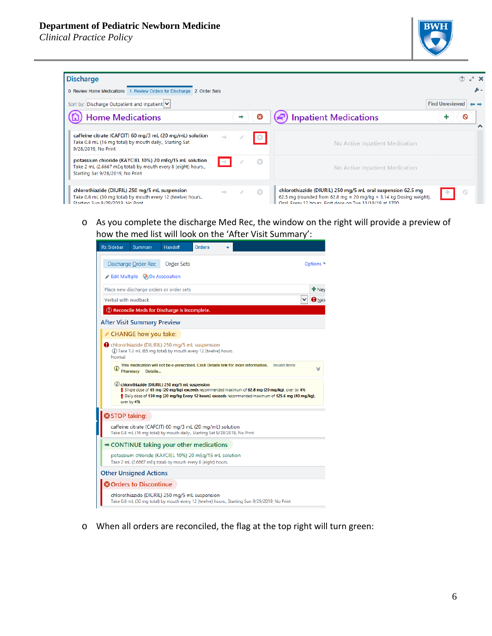### **Department of Pediatric Newborn Medicine**

*Clinical Practice Policy*



| <b>Discharge</b>                                                                                                                                           |  |   |                                                                                                                                                                                                       | ® ∠ x                  |  |
|------------------------------------------------------------------------------------------------------------------------------------------------------------|--|---|-------------------------------------------------------------------------------------------------------------------------------------------------------------------------------------------------------|------------------------|--|
| 0. Review Home Medications 1. Review Orders for Discharge 2. Order Sets                                                                                    |  |   |                                                                                                                                                                                                       |                        |  |
| Sort by: Discharge Outpatient and Inpatient V                                                                                                              |  |   |                                                                                                                                                                                                       | <b>Find Unreviewed</b> |  |
| <b>Home Medications</b>                                                                                                                                    |  |   | <b>Inpatient Medications</b>                                                                                                                                                                          | Q                      |  |
| caffeine citrate (CAFCIT) 60 mg/3 mL (20 mg/mL) solution<br>Take 0.8 mL (16 mg total) by mouth daily., Starting Sat<br>9/28/2019, No Print                 |  |   | No Active Inpatient Medication                                                                                                                                                                        |                        |  |
| potassium chloride (KAYCIEL 10%) 20 mEq/15 mL solution<br>Take 2 mL (2.6667 mEg total) by mouth every 8 (eight) hours.<br>Starting Sat 9/28/2019, No Print |  |   | No Active Inpatient Medication                                                                                                                                                                        |                        |  |
| chlorothiazide (DIURIL) 250 mg/5 mL suspension<br>Take 0.6 mL (30 mg total) by mouth every 12 (twelve) hours.,<br>Starting Sun 0/20/2010 No Print          |  | œ | chlorothiazide (DIURIL) 250 mg/5 mL oral suspension 62.5 mg<br>62.5 mg (rounded from 62.8 mg = 20 mg/kg $\times$ 3.14 kg Dosing weight),<br>Oral, Every 12 hours. First dose on Tue 11/19/19 at 1700. |                        |  |

o As you complete the discharge Med Rec, the window on the right will provide a preview of how the med list will look on the 'After Visit Summary':



o When all orders are reconciled, the flag at the top right will turn green: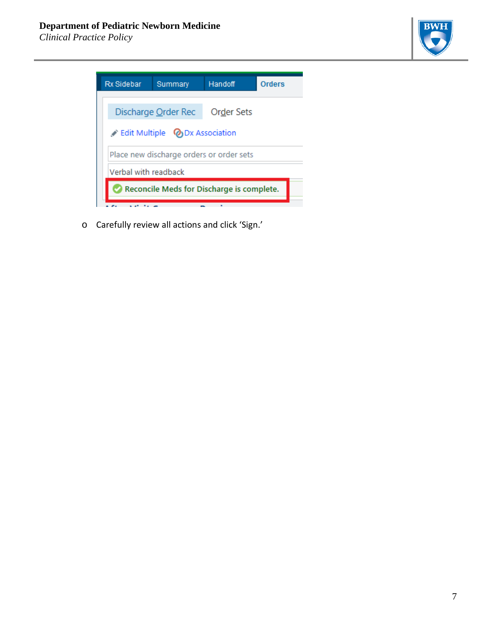*Clinical Practice Policy*





o Carefully review all actions and click 'Sign.'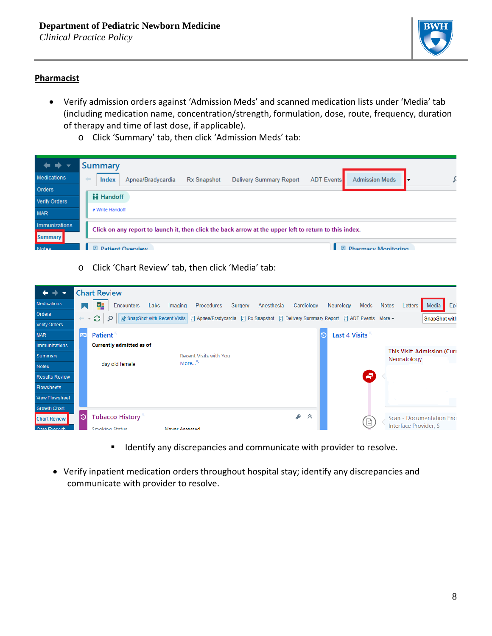

### **Pharmacist**

- Verify admission orders against 'Admission Meds' and scanned medication lists under 'Media' tab (including medication name, concentration/strength, formulation, dose, route, frequency, duration of therapy and time of last dose, if applicable).
	- o Click 'Summary' tab, then click 'Admission Meds' tab:

| $\Rightarrow$ $\rightarrow$ | <b>Summary</b>                                                                                                                                                |
|-----------------------------|---------------------------------------------------------------------------------------------------------------------------------------------------------------|
| Medications                 | <b>Admission Meds</b><br>$\leftarrow$<br><b>ADT Events</b><br>Apnea/Bradycardia<br><b>Delivery Summary Report</b><br><b>Index</b><br><b>Rx Snapshot</b><br>lv |
| Orders                      |                                                                                                                                                               |
| Verify Orders               | <b>H</b> Handoff                                                                                                                                              |
| <b>MAR</b>                  | * Write Handoff                                                                                                                                               |
| Immunizations               | Click on any report to launch it, then click the back arrow at the upper left to return to this index.                                                        |
| <b>Summary</b>              |                                                                                                                                                               |
| <b>Notae</b>                | 日<br>日<br><b>Pharmacy Monitoring</b><br><b>Patient Overview</b>                                                                                               |

o Click 'Chart Review' tab, then click 'Media' tab:



- **If Identify any discrepancies and communicate with provider to resolve.**
- Verify inpatient medication orders throughout hospital stay; identify any discrepancies and communicate with provider to resolve.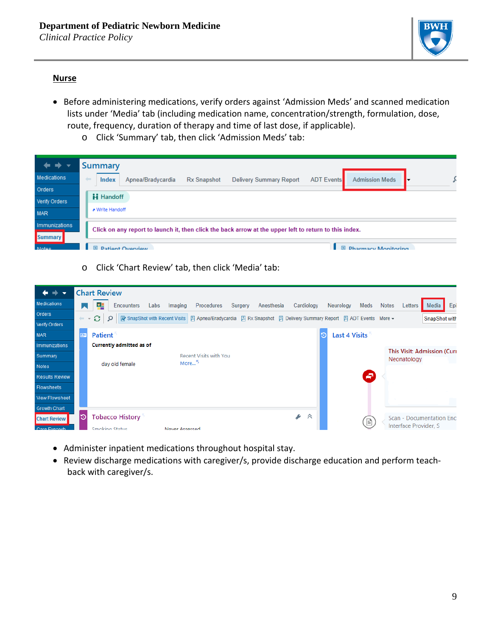

# **Nurse**

- Before administering medications, verify orders against 'Admission Meds' and scanned medication lists under 'Media' tab (including medication name, concentration/strength, formulation, dose, route, frequency, duration of therapy and time of last dose, if applicable).
	- o Click 'Summary' tab, then click 'Admission Meds' tab:

| $\Rightarrow$ $\rightarrow$ | <b>Summary</b>                                                                                                                                        |
|-----------------------------|-------------------------------------------------------------------------------------------------------------------------------------------------------|
| Medications                 | <b>Admission Meds</b><br>$\leftarrow$<br><b>ADT Events</b><br><b>Index</b><br>Apnea/Bradycardia<br><b>Delivery Summary Report</b><br>Rx Snapshot<br>⋅ |
| Orders                      |                                                                                                                                                       |
| Verify Orders               | <b>H</b> Handoff                                                                                                                                      |
| <b>MAR</b>                  | * Write Handoff                                                                                                                                       |
| Immunizations               | Click on any report to launch it, then click the back arrow at the upper left to return to this index.                                                |
| <b>Summary</b>              |                                                                                                                                                       |
| Motoe                       | 日<br>日<br><b>Pharmacy Monitoring</b><br><b>Patient Overview</b>                                                                                       |

o Click 'Chart Review' tab, then click 'Media' tab:

| $\overline{\phantom{a}}$ |                      | <b>Chart Review</b>                                                                                                                                     |
|--------------------------|----------------------|---------------------------------------------------------------------------------------------------------------------------------------------------------|
| Medications              | Ы                    | 론<br>Epi<br><b>Encounters</b><br>Meds<br>Media<br>Labs<br>Procedures<br>Surgery<br>Cardiology<br>Neurology<br>Notes<br>Imaging<br>Anesthesia<br>Letters |
| <b>Orders</b>            | $\leftarrow$ $\star$ | e<br>■ SnapShot with Recent Visits 日 Apnea/Bradycardia 日 Rx Snapshot 日 Delivery Summary Report 日 ADT Events More ▼<br>Q<br>SnapShot with                |
| Verify Orders            |                      |                                                                                                                                                         |
| <b>MAR</b>               | Œ                    | <b>Last 4 Visits</b><br><b>Patient</b>                                                                                                                  |
| Immunizations            |                      | <b>Currently admitted as of</b>                                                                                                                         |
| Summary                  |                      | <b>This Visit: Admission (Curr)</b><br><b>Recent Visits with You</b><br>Neonatology                                                                     |
| Notes                    |                      | More <sup>5</sup><br>day old female                                                                                                                     |
| <b>Results Review</b>    |                      | ₽                                                                                                                                                       |
| Flowsheets               |                      |                                                                                                                                                         |
| <b>View Flowsheet</b>    |                      |                                                                                                                                                         |
| <b>Growth Chart</b>      |                      |                                                                                                                                                         |
| <b>Chart Review</b>      | Э                    | s<br>《<br><b>Tobacco History</b><br>Scan - Documentation Enci<br>e                                                                                      |
| Care Everwh              |                      | Interface Provider, S<br>Smoking Status<br>Never Assessed                                                                                               |

- Administer inpatient medications throughout hospital stay.
- Review discharge medications with caregiver/s, provide discharge education and perform teachback with caregiver/s.